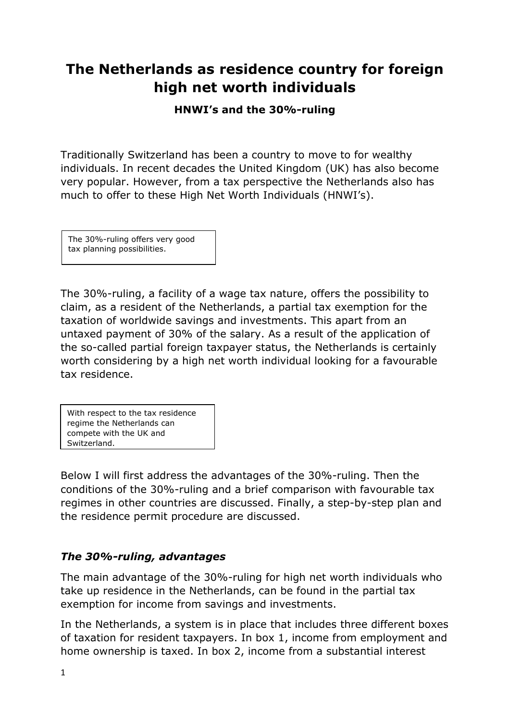# **The Netherlands as residence country for foreign high net worth individuals**

**HNWI's and the 30%-ruling**

Traditionally Switzerland has been a country to move to for wealthy individuals. In recent decades the United Kingdom (UK) has also become very popular. However, from a tax perspective the Netherlands also has much to offer to these High Net Worth Individuals (HNWI's).

The 30%-ruling offers very good tax planning possibilities.

The 30%-ruling, a facility of a wage tax nature, offers the possibility to claim, as a resident of the Netherlands, a partial tax exemption for the taxation of worldwide savings and investments. This apart from an untaxed payment of 30% of the salary. As a result of the application of the so-called partial foreign taxpayer status, the Netherlands is certainly worth considering by a high net worth individual looking for a favourable tax residence.

With respect to the tax residence regime the Netherlands can compete with the UK and Switzerland.

Below I will first address the advantages of the 30%-ruling. Then the conditions of the 30%-ruling and a brief comparison with favourable tax regimes in other countries are discussed. Finally, a step-by-step plan and the residence permit procedure are discussed.

## *The 30%-ruling, advantages*

The main advantage of the 30%-ruling for high net worth individuals who take up residence in the Netherlands, can be found in the partial tax exemption for income from savings and investments.

In the Netherlands, a system is in place that includes three different boxes of taxation for resident taxpayers. In box 1, income from employment and home ownership is taxed. In box 2, income from a substantial interest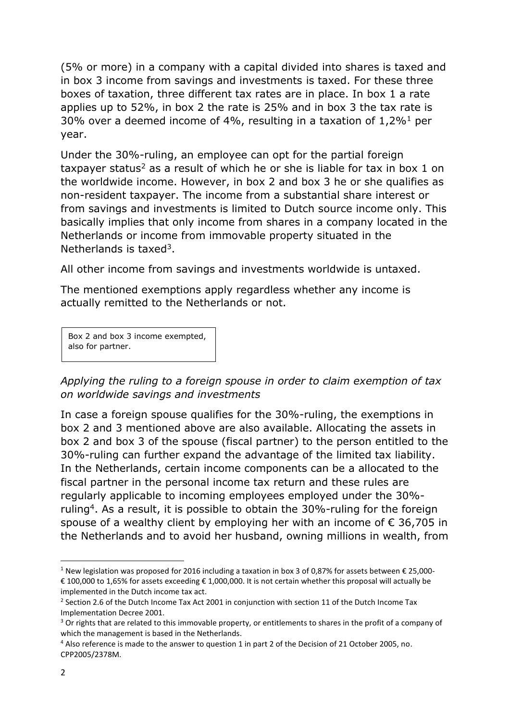(5% or more) in a company with a capital divided into shares is taxed and in box 3 income from savings and investments is taxed. For these three boxes of taxation, three different tax rates are in place. In box 1 a rate applies up to 52%, in box 2 the rate is 25% and in box 3 the tax rate is 30% over a deemed income of 4%, resulting in a taxation of  $1,2\%$ <sup>1</sup> per year.

Under the 30%-ruling, an employee can opt for the partial foreign taxpayer status<sup>2</sup> as a result of which he or she is liable for tax in box 1 on the worldwide income. However, in box 2 and box 3 he or she qualifies as non-resident taxpayer. The income from a substantial share interest or from savings and investments is limited to Dutch source income only. This basically implies that only income from shares in a company located in the Netherlands or income from immovable property situated in the Netherlands is taxed<sup>3</sup>.

All other income from savings and investments worldwide is untaxed.

The mentioned exemptions apply regardless whether any income is actually remitted to the Netherlands or not.

Box 2 and box 3 income exempted, also for partner.

*Applying the ruling to a foreign spouse in order to claim exemption of tax on worldwide savings and investments* 

In case a foreign spouse qualifies for the 30%-ruling, the exemptions in box 2 and 3 mentioned above are also available. Allocating the assets in box 2 and box 3 of the spouse (fiscal partner) to the person entitled to the 30%-ruling can further expand the advantage of the limited tax liability. In the Netherlands, certain income components can be a allocated to the fiscal partner in the personal income tax return and these rules are regularly applicable to incoming employees employed under the 30% ruling<sup>4</sup>. As a result, it is possible to obtain the 30%-ruling for the foreign spouse of a wealthy client by employing her with an income of  $\epsilon$  36,705 in the Netherlands and to avoid her husband, owning millions in wealth, from

<sup>1</sup> <sup>1</sup> New legislation was proposed for 2016 including a taxation in box 3 of 0,87% for assets between € 25,000-€ 100,000 to 1,65% for assets exceeding € 1,000,000. It is not certain whether this proposal will actually be implemented in the Dutch income tax act.

<sup>&</sup>lt;sup>2</sup> Section 2.6 of the Dutch Income Tax Act 2001 in conjunction with section 11 of the Dutch Income Tax Implementation Decree 2001.

<sup>&</sup>lt;sup>3</sup> Or rights that are related to this immovable property, or entitlements to shares in the profit of a company of which the management is based in the Netherlands.

<sup>4</sup> Also reference is made to the answer to question 1 in part 2 of the Decision of 21 October 2005, no. CPP2005/2378M.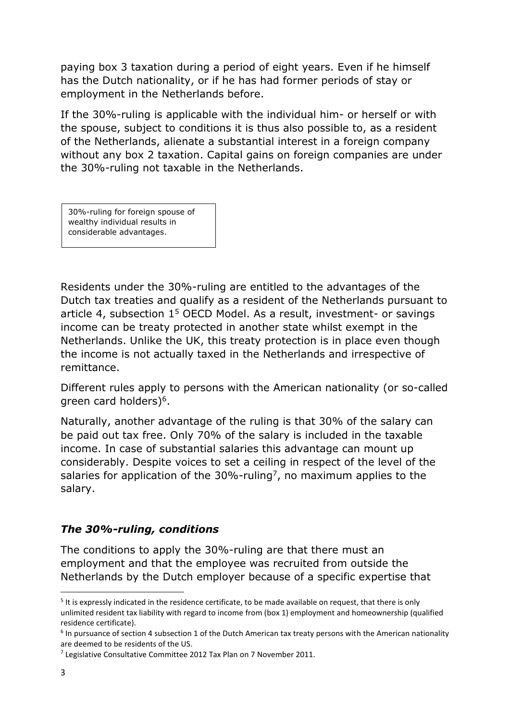paying box 3 taxation during a period of eight years. Even if he himself has the Dutch nationality, or if he has had former periods of stay or employment in the Netherlands before.

If the 30%-ruling is applicable with the individual him- or herself or with the spouse, subject to conditions it is thus also possible to, as a resident of the Netherlands, alienate a substantial interest in a foreign company without any box 2 taxation. Capital gains on foreign companies are under the 30%-ruling not taxable in the Netherlands.

30%-ruling for foreign spouse of wealthy individual results in considerable advantages.

Residents under the 30%-ruling are entitled to the advantages of the Dutch tax treaties and qualify as a resident of the Netherlands pursuant to article 4, subsection  $1<sup>5</sup>$  OECD Model. As a result, investment- or savings income can be treaty protected in another state whilst exempt in the Netherlands. Unlike the UK, this treaty protection is in place even though the income is not actually taxed in the Netherlands and irrespective of remittance.

Different rules apply to persons with the American nationality (or so-called green card holders)<sup>6</sup>.

Naturally, another advantage of the ruling is that 30% of the salary can be paid out tax free. Only 70% of the salary is included in the taxable income. In case of substantial salaries this advantage can mount up considerably. Despite voices to set a ceiling in respect of the level of the salaries for application of the 30%-ruling<sup>7</sup>, no maximum applies to the salary.

## *The 30%-ruling, conditions*

The conditions to apply the 30%-ruling are that there must an employment and that the employee was recruited from outside the Netherlands by the Dutch employer because of a specific expertise that

<sup>&</sup>lt;sup>5</sup> It is expressly indicated in the residence certificate, to be made available on request, that there is only unlimited resident tax liability with regard to income from (box 1) employment and homeownership (qualified residence certificate).

 $<sup>6</sup>$  In pursuance of section 4 subsection 1 of the Dutch American tax treaty persons with the American nationality</sup> are deemed to be residents of the US.

<sup>&</sup>lt;sup>7</sup> Legislative Consultative Committee 2012 Tax Plan on 7 November 2011.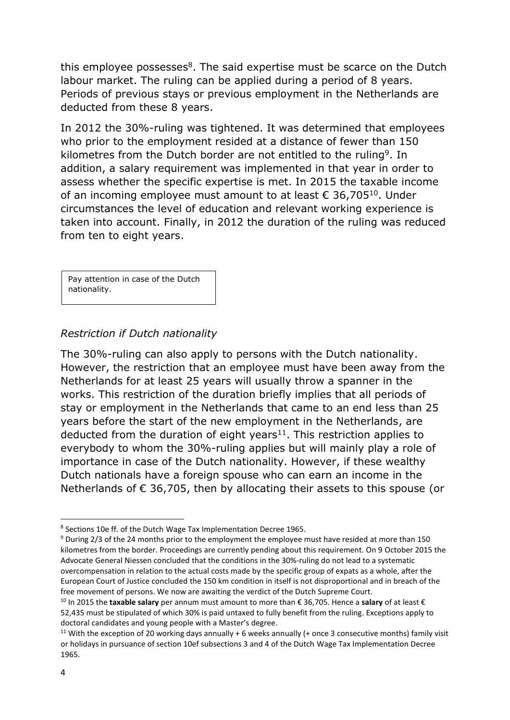this employee possesses<sup>8</sup>. The said expertise must be scarce on the Dutch labour market. The ruling can be applied during a period of 8 years. Periods of previous stays or previous employment in the Netherlands are deducted from these 8 years.

In 2012 the 30%-ruling was tightened. It was determined that employees who prior to the employment resided at a distance of fewer than 150 kilometres from the Dutch border are not entitled to the ruling<sup>9</sup>. In addition, a salary requirement was implemented in that year in order to assess whether the specific expertise is met. In 2015 the taxable income of an incoming employee must amount to at least  $\epsilon$  36,705<sup>10</sup>. Under circumstances the level of education and relevant working experience is taken into account. Finally, in 2012 the duration of the ruling was reduced from ten to eight years.

Pay attention in case of the Dutch nationality.

#### *Restriction if Dutch nationality*

The 30%-ruling can also apply to persons with the Dutch nationality. However, the restriction that an employee must have been away from the Netherlands for at least 25 years will usually throw a spanner in the works. This restriction of the duration briefly implies that all periods of stay or employment in the Netherlands that came to an end less than 25 years before the start of the new employment in the Netherlands, are deducted from the duration of eight years $11$ . This restriction applies to everybody to whom the 30%-ruling applies but will mainly play a role of importance in case of the Dutch nationality. However, if these wealthy Dutch nationals have a foreign spouse who can earn an income in the Netherlands of € 36,705, then by allocating their assets to this spouse (or

<sup>&</sup>lt;sup>8</sup> Sections 10e ff. of the Dutch Wage Tax Implementation Decree 1965.

<sup>9</sup> During 2/3 of the 24 months prior to the employment the employee must have resided at more than 150 kilometres from the border. Proceedings are currently pending about this requirement. On 9 October 2015 the Advocate General Niessen concluded that the conditions in the 30%-ruling do not lead to a systematic overcompensation in relation to the actual costs made by the specific group of expats as a whole, after the European Court of Justice concluded the 150 km condition in itself is not disproportional and in breach of the free movement of persons. We now are awaiting the verdict of the Dutch Supreme Court.

<sup>10</sup> In 2015 the **taxable salary** per annum must amount to more than € 36,705. Hence a **salary** of at least € 52,435 must be stipulated of which 30% is paid untaxed to fully benefit from the ruling. Exceptions apply to doctoral candidates and young people with a Master's degree.

<sup>&</sup>lt;sup>11</sup> With the exception of 20 working days annually + 6 weeks annually (+ once 3 consecutive months) family visit or holidays in pursuance of section 10ef subsections 3 and 4 of the Dutch Wage Tax Implementation Decree 1965.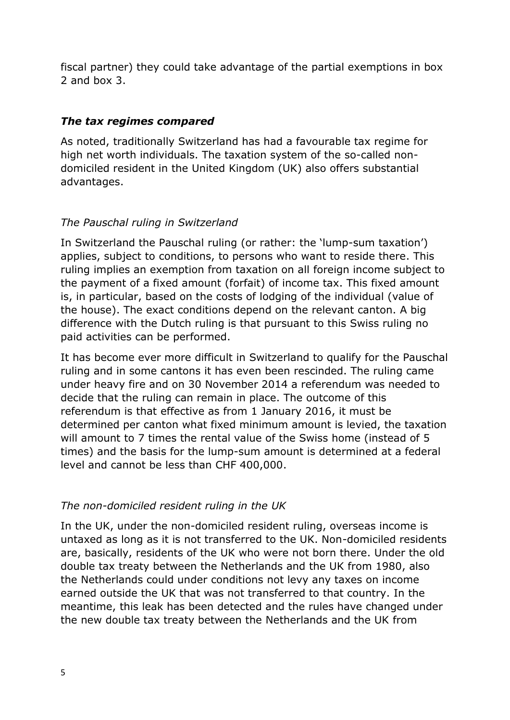fiscal partner) they could take advantage of the partial exemptions in box 2 and box 3.

## *The tax regimes compared*

As noted, traditionally Switzerland has had a favourable tax regime for high net worth individuals. The taxation system of the so-called nondomiciled resident in the United Kingdom (UK) also offers substantial advantages.

### *The Pauschal ruling in Switzerland*

In Switzerland the Pauschal ruling (or rather: the 'lump-sum taxation') applies, subject to conditions, to persons who want to reside there. This ruling implies an exemption from taxation on all foreign income subject to the payment of a fixed amount (forfait) of income tax. This fixed amount is, in particular, based on the costs of lodging of the individual (value of the house). The exact conditions depend on the relevant canton. A big difference with the Dutch ruling is that pursuant to this Swiss ruling no paid activities can be performed.

It has become ever more difficult in Switzerland to qualify for the Pauschal ruling and in some cantons it has even been rescinded. The ruling came under heavy fire and on 30 November 2014 a referendum was needed to decide that the ruling can remain in place. The outcome of this referendum is that effective as from 1 January 2016, it must be determined per canton what fixed minimum amount is levied, the taxation will amount to 7 times the rental value of the Swiss home (instead of 5 times) and the basis for the lump-sum amount is determined at a federal level and cannot be less than CHF 400,000.

### *The non-domiciled resident ruling in the UK*

In the UK, under the non-domiciled resident ruling, overseas income is untaxed as long as it is not transferred to the UK. Non-domiciled residents are, basically, residents of the UK who were not born there. Under the old double tax treaty between the Netherlands and the UK from 1980, also the Netherlands could under conditions not levy any taxes on income earned outside the UK that was not transferred to that country. In the meantime, this leak has been detected and the rules have changed under the new double tax treaty between the Netherlands and the UK from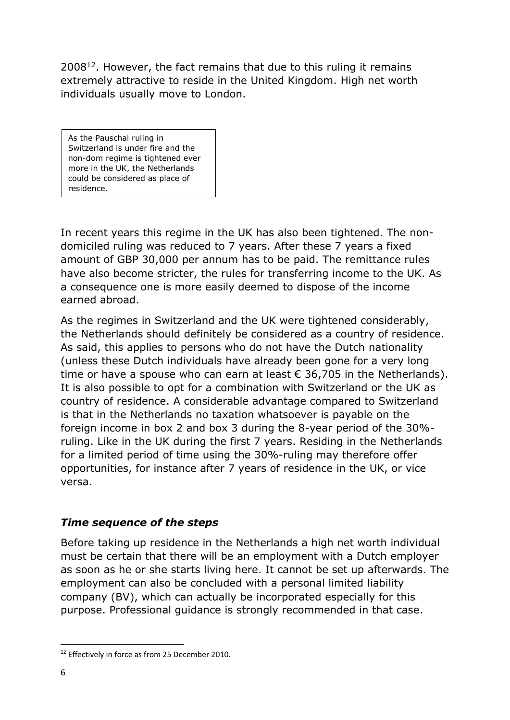2008<sup>12</sup>. However, the fact remains that due to this ruling it remains extremely attractive to reside in the United Kingdom. High net worth individuals usually move to London.

As the Pauschal ruling in Switzerland is under fire and the non-dom regime is tightened ever more in the UK, the Netherlands could be considered as place of residence.

In recent years this regime in the UK has also been tightened. The nondomiciled ruling was reduced to 7 years. After these 7 years a fixed amount of GBP 30,000 per annum has to be paid. The remittance rules have also become stricter, the rules for transferring income to the UK. As a consequence one is more easily deemed to dispose of the income earned abroad.

As the regimes in Switzerland and the UK were tightened considerably, the Netherlands should definitely be considered as a country of residence. As said, this applies to persons who do not have the Dutch nationality (unless these Dutch individuals have already been gone for a very long time or have a spouse who can earn at least  $\epsilon$  36,705 in the Netherlands). It is also possible to opt for a combination with Switzerland or the UK as country of residence. A considerable advantage compared to Switzerland is that in the Netherlands no taxation whatsoever is payable on the foreign income in box 2 and box 3 during the 8-year period of the 30% ruling. Like in the UK during the first 7 years. Residing in the Netherlands for a limited period of time using the 30%-ruling may therefore offer opportunities, for instance after 7 years of residence in the UK, or vice versa.

### *Time sequence of the steps*

Before taking up residence in the Netherlands a high net worth individual must be certain that there will be an employment with a Dutch employer as soon as he or she starts living here. It cannot be set up afterwards. The employment can also be concluded with a personal limited liability company (BV), which can actually be incorporated especially for this purpose. Professional guidance is strongly recommended in that case.

<sup>&</sup>lt;sup>12</sup> Effectively in force as from 25 December 2010.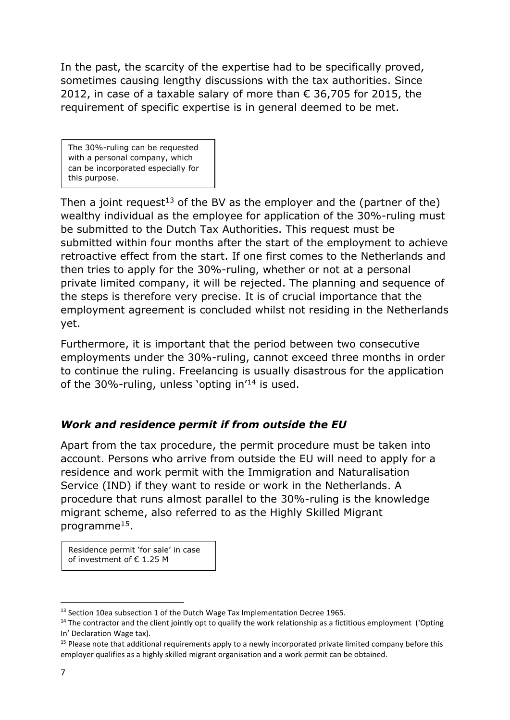In the past, the scarcity of the expertise had to be specifically proved, sometimes causing lengthy discussions with the tax authorities. Since 2012, in case of a taxable salary of more than  $\epsilon$  36,705 for 2015, the requirement of specific expertise is in general deemed to be met.

The 30%-ruling can be requested with a personal company, which can be incorporated especially for this purpose.

Then a joint request<sup>13</sup> of the BV as the employer and the (partner of the) wealthy individual as the employee for application of the 30%-ruling must be submitted to the Dutch Tax Authorities. This request must be submitted within four months after the start of the employment to achieve retroactive effect from the start. If one first comes to the Netherlands and then tries to apply for the 30%-ruling, whether or not at a personal private limited company, it will be rejected. The planning and sequence of the steps is therefore very precise. It is of crucial importance that the employment agreement is concluded whilst not residing in the Netherlands yet.

Furthermore, it is important that the period between two consecutive employments under the 30%-ruling, cannot exceed three months in order to continue the ruling. Freelancing is usually disastrous for the application of the 30%-ruling, unless 'opting in'<sup>14</sup> is used.

## *Work and residence permit if from outside the EU*

Apart from the tax procedure, the permit procedure must be taken into account. Persons who arrive from outside the EU will need to apply for a residence and work permit with the Immigration and Naturalisation Service (IND) if they want to reside or work in the Netherlands. A procedure that runs almost parallel to the 30%-ruling is the knowledge migrant scheme, also referred to as the Highly Skilled Migrant programme<sup>15</sup>.

Residence permit 'for sale' in case of investment of € 1.25 M

<sup>&</sup>lt;sup>13</sup> Section 10ea subsection 1 of the Dutch Wage Tax Implementation Decree 1965.

 $14$  The contractor and the client jointly opt to qualify the work relationship as a fictitious employment ('Opting In' Declaration Wage tax).

<sup>&</sup>lt;sup>15</sup> Please note that additional requirements apply to a newly incorporated private limited company before this employer qualifies as a highly skilled migrant organisation and a work permit can be obtained.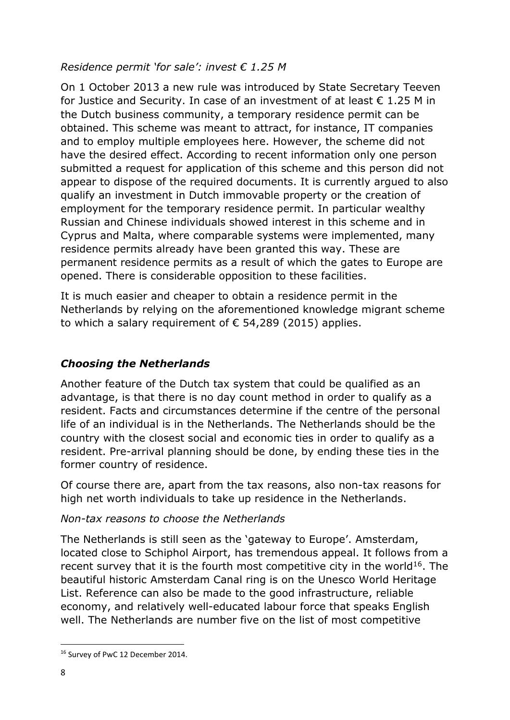#### *Residence permit 'for sale': invest € 1.25 M*

On 1 October 2013 a new rule was introduced by State Secretary Teeven for Justice and Security. In case of an investment of at least  $\epsilon$  1.25 M in the Dutch business community, a temporary residence permit can be obtained. This scheme was meant to attract, for instance, IT companies and to employ multiple employees here. However, the scheme did not have the desired effect. According to recent information only one person submitted a request for application of this scheme and this person did not appear to dispose of the required documents. It is currently argued to also qualify an investment in Dutch immovable property or the creation of employment for the temporary residence permit. In particular wealthy Russian and Chinese individuals showed interest in this scheme and in Cyprus and Malta, where comparable systems were implemented, many residence permits already have been granted this way. These are permanent residence permits as a result of which the gates to Europe are opened. There is considerable opposition to these facilities.

It is much easier and cheaper to obtain a residence permit in the Netherlands by relying on the aforementioned knowledge migrant scheme to which a salary requirement of  $\epsilon$  54,289 (2015) applies.

## *Choosing the Netherlands*

Another feature of the Dutch tax system that could be qualified as an advantage, is that there is no day count method in order to qualify as a resident. Facts and circumstances determine if the centre of the personal life of an individual is in the Netherlands. The Netherlands should be the country with the closest social and economic ties in order to qualify as a resident. Pre-arrival planning should be done, by ending these ties in the former country of residence.

Of course there are, apart from the tax reasons, also non-tax reasons for high net worth individuals to take up residence in the Netherlands.

#### *Non-tax reasons to choose the Netherlands*

The Netherlands is still seen as the 'gateway to Europe'. Amsterdam, located close to Schiphol Airport, has tremendous appeal. It follows from a recent survey that it is the fourth most competitive city in the world<sup>16</sup>. The beautiful historic Amsterdam Canal ring is on the Unesco World Heritage List. Reference can also be made to the good infrastructure, reliable economy, and relatively well-educated labour force that speaks English well. The Netherlands are number five on the list of most competitive

<sup>&</sup>lt;sup>16</sup> Survey of PwC 12 December 2014.